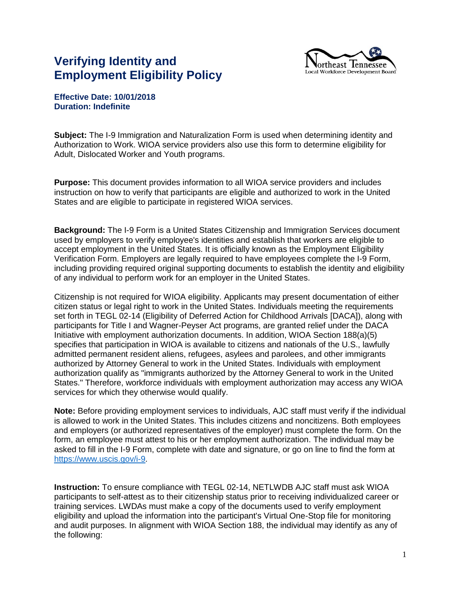## **Verifying Identity and Employment Eligibility Policy**



## **Effective Date: 10/01/2018 Duration: Indefinite**

**Subject:** The I-9 Immigration and Naturalization Form is used when determining identity and Authorization to Work. WIOA service providers also use this form to determine eligibility for Adult, Dislocated Worker and Youth programs.

**Purpose:** This document provides information to all WIOA service providers and includes instruction on how to verify that participants are eligible and authorized to work in the United States and are eligible to participate in registered WIOA services.

**Background:** The I-9 Form is a United States Citizenship and Immigration Services document used by employers to verify employee's identities and establish that workers are eligible to accept employment in the United States. It is officially known as the Employment Eligibility Verification Form. Employers are legally required to have employees complete the I-9 Form, including providing required original supporting documents to establish the identity and eligibility of any individual to perform work for an employer in the United States.

Citizenship is not required for WIOA eligibility. Applicants may present documentation of either citizen status or legal right to work in the United States. Individuals meeting the requirements set forth in TEGL 02-14 (Eligibility of Deferred Action for Childhood Arrivals [DACA]), along with participants for Title I and Wagner-Peyser Act programs, are granted relief under the DACA Initiative with employment authorization documents. In addition, WIOA Section 188(a)(5) specifies that participation in WIOA is available to citizens and nationals of the U.S., lawfully admitted permanent resident aliens, refugees, asylees and parolees, and other immigrants authorized by Attorney General to work in the United States. Individuals with employment authorization qualify as "immigrants authorized by the Attorney General to work in the United States." Therefore, workforce individuals with employment authorization may access any WIOA services for which they otherwise would qualify.

**Note:** Before providing employment services to individuals, AJC staff must verify if the individual is allowed to work in the United States. This includes citizens and noncitizens. Both employees and employers (or authorized representatives of the employer) must complete the form. On the form, an employee must attest to his or her employment authorization. The individual may be asked to fill in the I-9 Form, complete with date and signature, or go on line to find the form at [https://www.uscis.gov/i-9.](https://www.uscis.gov/i-9)

**Instruction:** To ensure compliance with TEGL 02-14, NETLWDB AJC staff must ask WIOA participants to self-attest as to their citizenship status prior to receiving individualized career or training services. LWDAs must make a copy of the documents used to verify employment eligibility and upload the information into the participant's Virtual One-Stop file for monitoring and audit purposes. In alignment with WIOA Section 188, the individual may identify as any of the following: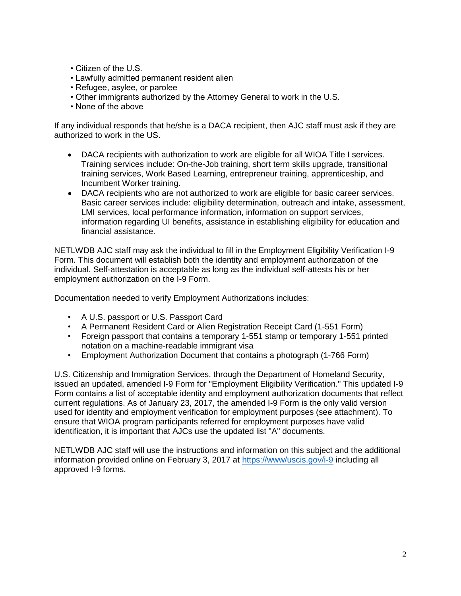- Citizen of the U.S.
- Lawfully admitted permanent resident alien
- Refugee, asylee, or parolee
- Other immigrants authorized by the Attorney General to work in the U.S.
- None of the above

If any individual responds that he/she is a DACA recipient, then AJC staff must ask if they are authorized to work in the US.

- DACA recipients with authorization to work are eligible for all WIOA Title I services. Training services include: On-the-Job training, short term skills upgrade, transitional training services, Work Based Learning, entrepreneur training, apprenticeship, and Incumbent Worker training.
- DACA recipients who are not authorized to work are eligible for basic career services. Basic career services include: eligibility determination, outreach and intake, assessment, LMI services, local performance information, information on support services, information regarding UI benefits, assistance in establishing eligibility for education and financial assistance.

NETLWDB AJC staff may ask the individual to fill in the Employment Eligibility Verification I-9 Form. This document will establish both the identity and employment authorization of the individual. Self-attestation is acceptable as long as the individual self-attests his or her employment authorization on the I-9 Form.

Documentation needed to verify Employment Authorizations includes:

- A U.S. passport or U.S. Passport Card
- A Permanent Resident Card or Alien Registration Receipt Card (1-551 Form)
- Foreign passport that contains a temporary 1-551 stamp or temporary 1-551 printed notation on a machine-readable immigrant visa
- Employment Authorization Document that contains a photograph (1-766 Form)

U.S. Citizenship and Immigration Services, through the Department of Homeland Security, issued an updated, amended I-9 Form for "Employment Eligibility Verification." This updated I-9 Form contains a list of acceptable identity and employment authorization documents that reflect current regulations. As of January 23, 2017, the amended I-9 Form is the only valid version used for identity and employment verification for employment purposes (see attachment). To ensure that WIOA program participants referred for employment purposes have valid identification, it is important that AJCs use the updated list "A" documents.

NETLWDB AJC staff will use the instructions and information on this subject and the additional information provided online on February 3, 2017 at<https://www/uscis.gov/i-9> including all approved I-9 forms.